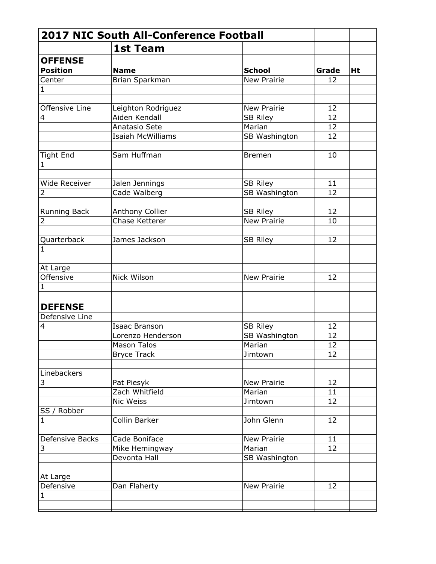|                           | <b>2017 NIC South All-Conference Football</b> |                    |       |    |
|---------------------------|-----------------------------------------------|--------------------|-------|----|
|                           | <b>1st Team</b>                               |                    |       |    |
| <b>OFFENSE</b>            |                                               |                    |       |    |
| <b>Position</b>           | <b>Name</b>                                   | <b>School</b>      | Grade | Ht |
| Center                    | Brian Sparkman                                | <b>New Prairie</b> | 12    |    |
| 1                         |                                               |                    |       |    |
|                           |                                               |                    |       |    |
| Offensive Line            | Leighton Rodriguez                            | New Prairie        | 12    |    |
| 4                         | Aiden Kendall                                 | <b>SB Riley</b>    | 12    |    |
|                           | Anatasio Sete                                 | Marian             | 12    |    |
|                           | <b>Isaiah McWilliams</b>                      | SB Washington      | 12    |    |
|                           |                                               |                    |       |    |
| <b>Tight End</b>          | Sam Huffman                                   | <b>Bremen</b>      | 10    |    |
| 1                         |                                               |                    |       |    |
|                           |                                               |                    |       |    |
| Wide Receiver             | Jalen Jennings                                | <b>SB Riley</b>    | 11    |    |
| 2                         | Cade Walberg                                  | SB Washington      | 12    |    |
|                           |                                               |                    |       |    |
| Running Back              | Anthony Collier                               | <b>SB Riley</b>    | 12    |    |
| 2                         | Chase Ketterer                                | New Prairie        | 10    |    |
|                           |                                               |                    |       |    |
| Quarterback               | James Jackson                                 | <b>SB Riley</b>    | 12    |    |
| 1                         |                                               |                    |       |    |
|                           |                                               |                    |       |    |
| At Large                  |                                               |                    |       |    |
| Offensive                 | Nick Wilson                                   | New Prairie        | 12    |    |
| $\mathbf{1}$              |                                               |                    |       |    |
|                           |                                               |                    |       |    |
| <b>DEFENSE</b>            |                                               |                    |       |    |
| Defensive Line            |                                               |                    |       |    |
| 4                         | <b>Isaac Branson</b>                          | <b>SB Riley</b>    | 12    |    |
|                           | Lorenzo Henderson                             | SB Washington      | 12    |    |
|                           | <b>Mason Talos</b>                            | Marian             | 12    |    |
|                           | <b>Bryce Track</b>                            | Jimtown            | 12    |    |
|                           |                                               |                    |       |    |
| Linebackers               |                                               |                    |       |    |
| 3                         | Pat Piesyk                                    | New Prairie        | 12    |    |
|                           | Zach Whitfield                                | Marian             | 11    |    |
|                           | Nic Weiss                                     | Jimtown            | 12    |    |
| SS / Robber               |                                               |                    |       |    |
| $\mathbf{1}$              | Collin Barker                                 | John Glenn         | 12    |    |
|                           |                                               |                    |       |    |
| <b>Defensive Backs</b>    | Cade Boniface                                 | New Prairie        | 11    |    |
| 3                         | Mike Hemingway                                | Marian             | 12    |    |
|                           | Devonta Hall                                  | SB Washington      |       |    |
|                           |                                               |                    |       |    |
| At Large                  |                                               | New Prairie        | 12    |    |
| Defensive<br>$\mathbf{1}$ | Dan Flaherty                                  |                    |       |    |
|                           |                                               |                    |       |    |
|                           |                                               |                    |       |    |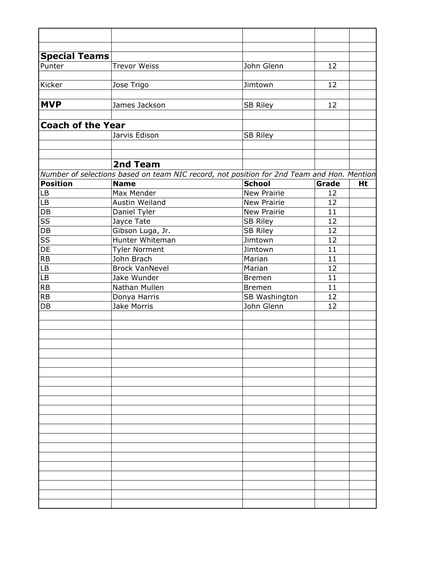| <b>Special Teams</b>         |                                                                                           |                    |          |    |
|------------------------------|-------------------------------------------------------------------------------------------|--------------------|----------|----|
| Punter                       | <b>Trevor Weiss</b>                                                                       | John Glenn         | 12       |    |
|                              |                                                                                           |                    |          |    |
| Kicker                       | Jose Trigo                                                                                | Jimtown            | 12       |    |
|                              |                                                                                           |                    |          |    |
| <b>MVP</b>                   | James Jackson                                                                             | <b>SB Riley</b>    | 12       |    |
|                              |                                                                                           |                    |          |    |
| <b>Coach of the Year</b>     |                                                                                           |                    |          |    |
|                              | Jarvis Edison                                                                             | <b>SB Riley</b>    |          |    |
|                              |                                                                                           |                    |          |    |
|                              |                                                                                           |                    |          |    |
|                              | 2nd Team                                                                                  |                    |          |    |
|                              | Number of selections based on team NIC record, not position for 2nd Team and Hon. Mention |                    |          |    |
| <b>Position</b>              | <b>Name</b>                                                                               | <b>School</b>      | Grade    | Ht |
| <b>LB</b>                    | Max Mender                                                                                | <b>New Prairie</b> | 12       |    |
| <b>LB</b>                    | Austin Weiland                                                                            | <b>New Prairie</b> | 12       |    |
| <b>DB</b>                    | Daniel Tyler                                                                              | New Prairie        | 11       |    |
| $\overline{\text{SS}}$       | Jayce Tate                                                                                | <b>SB Riley</b>    | 12       |    |
| DB                           | Gibson Luga, Jr.<br>Hunter Whiteman                                                       | <b>SB Riley</b>    | 12       |    |
| $\overline{\text{SS}}$<br>DE |                                                                                           | Jimtown            | 12<br>11 |    |
| RB                           | <b>Tyler Norment</b><br>John Brach                                                        | Jimtown<br>Marian  | 11       |    |
| LB                           | <b>Brock VanNevel</b>                                                                     | Marian             | 12       |    |
| LB                           | Jake Wunder                                                                               | <b>Bremen</b>      | 11       |    |
| RB                           | Nathan Mullen                                                                             | <b>Bremen</b>      | 11       |    |
| <b>RB</b>                    | Donya Harris                                                                              | SB Washington      | 12       |    |
| DB                           | Jake Morris                                                                               | John Glenn         | 12       |    |
|                              |                                                                                           |                    |          |    |
|                              |                                                                                           |                    |          |    |
|                              |                                                                                           |                    |          |    |
|                              |                                                                                           |                    |          |    |
|                              |                                                                                           |                    |          |    |
|                              |                                                                                           |                    |          |    |
|                              |                                                                                           |                    |          |    |
|                              |                                                                                           |                    |          |    |
|                              |                                                                                           |                    |          |    |
|                              |                                                                                           |                    |          |    |
|                              |                                                                                           |                    |          |    |
|                              |                                                                                           |                    |          |    |
|                              |                                                                                           |                    |          |    |
|                              |                                                                                           |                    |          |    |
|                              |                                                                                           |                    |          |    |
|                              |                                                                                           |                    |          |    |
|                              |                                                                                           |                    |          |    |
|                              |                                                                                           |                    |          |    |
|                              |                                                                                           |                    |          |    |
|                              |                                                                                           |                    |          |    |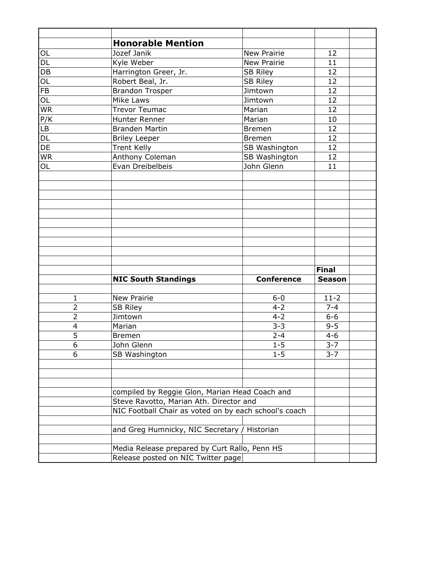|                 | <b>Honorable Mention</b>                              |                    |               |
|-----------------|-------------------------------------------------------|--------------------|---------------|
| OL              | Jozef Janik                                           | New Prairie        | 12            |
| $\overline{DL}$ | Kyle Weber                                            | <b>New Prairie</b> | 11            |
| $\overline{DB}$ | Harrington Greer, Jr.                                 | <b>SB Riley</b>    | 12            |
| OL              | Robert Beal, Jr.                                      | <b>SB Riley</b>    | 12            |
| $\overline{FB}$ | <b>Brandon Trosper</b>                                | Jimtown            | 12            |
| $\overline{OL}$ | Mike Laws                                             | Jimtown            | 12            |
| <b>WR</b>       | <b>Trevor Teumac</b>                                  | Marian             | 12            |
| P/K             | Hunter Renner                                         | Marian             | 10            |
| LB              | <b>Branden Martin</b>                                 | <b>Bremen</b>      | 12            |
| DL              | <b>Briley Leeper</b>                                  | <b>Bremen</b>      | 12            |
| $\overline{DE}$ | <b>Trent Kelly</b>                                    | SB Washington      | 12            |
| <b>WR</b>       | Anthony Coleman                                       | SB Washington      | 12            |
| OL              | Evan Dreibelbeis                                      | John Glenn         | 11            |
|                 |                                                       |                    |               |
|                 |                                                       |                    |               |
|                 |                                                       |                    |               |
|                 |                                                       |                    |               |
|                 |                                                       |                    |               |
|                 |                                                       |                    |               |
|                 |                                                       |                    |               |
|                 |                                                       |                    |               |
|                 |                                                       |                    |               |
|                 |                                                       |                    |               |
|                 |                                                       |                    | <b>Final</b>  |
|                 | <b>NIC South Standings</b>                            | <b>Conference</b>  | <b>Season</b> |
|                 |                                                       |                    |               |
| 1               | New Prairie                                           | $6-0$              | $11-2$        |
| $\overline{2}$  | <b>SB Riley</b>                                       | $4 - 2$            | $7 - 4$       |
| $\overline{2}$  | Jimtown                                               | $4 - 2$            | $6-6$         |
| 4               | Marian                                                | $3 - 3$            | $9 - 5$       |
| $\overline{5}$  | <b>Bremen</b>                                         | $2 - 4$            | $4 - 6$       |
| $\overline{6}$  | John Glenn                                            | $1 - 5$            | $3 - 7$       |
| 6               | SB Washington                                         | $1 - 5$            | $3 - 7$       |
|                 |                                                       |                    |               |
|                 |                                                       |                    |               |
|                 |                                                       |                    |               |
|                 | compiled by Reggie Glon, Marian Head Coach and        |                    |               |
|                 | Steve Ravotto, Marian Ath. Director and               |                    |               |
|                 | NIC Football Chair as voted on by each school's coach |                    |               |
|                 |                                                       |                    |               |
|                 | and Greg Humnicky, NIC Secretary / Historian          |                    |               |
|                 |                                                       |                    |               |
|                 | Media Release prepared by Curt Rallo, Penn HS         |                    |               |
|                 |                                                       |                    |               |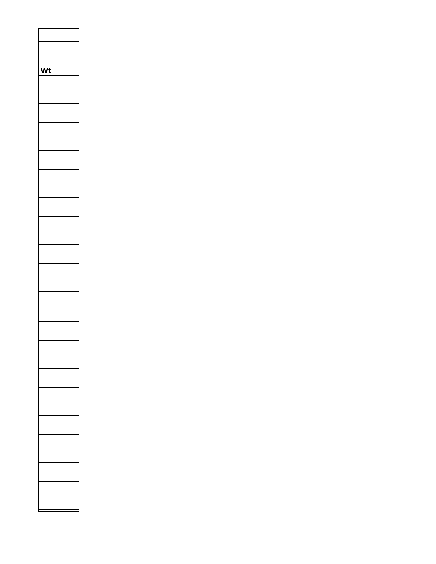| Wt |  |
|----|--|
|    |  |
|    |  |
|    |  |
|    |  |
|    |  |
|    |  |
|    |  |
|    |  |
|    |  |
|    |  |
|    |  |
|    |  |
|    |  |
|    |  |
|    |  |
|    |  |
|    |  |
|    |  |
|    |  |
|    |  |
|    |  |
|    |  |
|    |  |
|    |  |
|    |  |
|    |  |
|    |  |
|    |  |
|    |  |
|    |  |
|    |  |
|    |  |
|    |  |
|    |  |
|    |  |
|    |  |
|    |  |
|    |  |
|    |  |
|    |  |
|    |  |
|    |  |
|    |  |
|    |  |
|    |  |
|    |  |
|    |  |
|    |  |
|    |  |
|    |  |
|    |  |
|    |  |
|    |  |
|    |  |
|    |  |
|    |  |
|    |  |
|    |  |
|    |  |
|    |  |
|    |  |